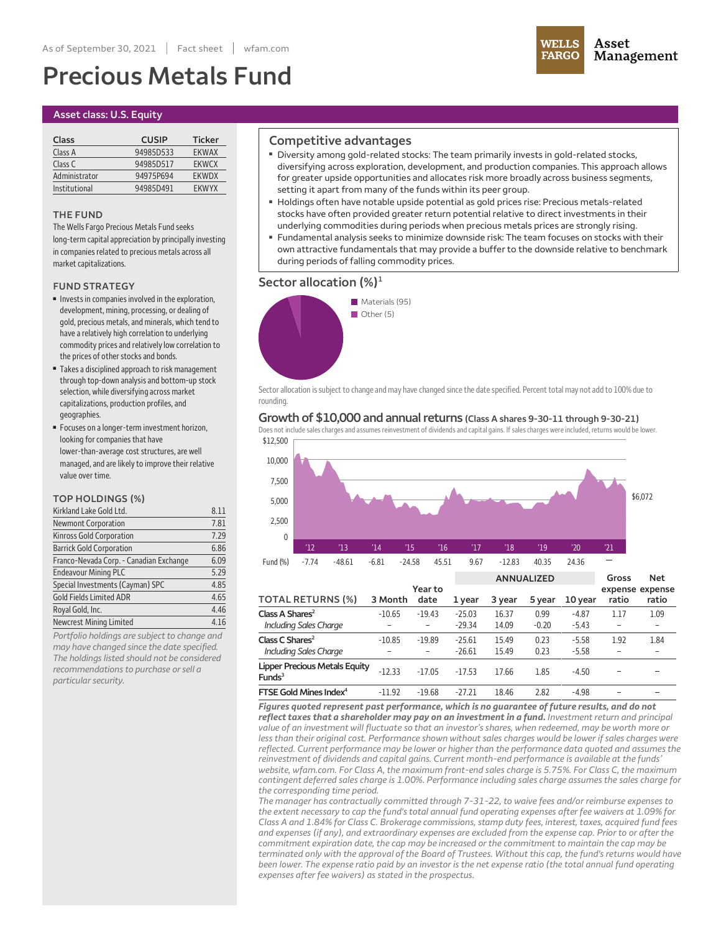# **Precious Metals Fund**



## **Asset class: U.S. Equity**

| Class         | <b>CUSIP</b> | <b>Ticker</b> |
|---------------|--------------|---------------|
| Class A       | 94985D533    | <b>FKWAX</b>  |
| Class C       | 94985D517    | <b>EKWCX</b>  |
| Administrator | 94975P694    | <b>FKWDX</b>  |
| Institutional | 94985D491    | <b>FKWYX</b>  |

### **THE FUND**

**The Wells Fargo Precious Metals Fund seeks long-term capitalappreciation by principallyinvesting** in companies related to precious metals across all market capitalizations.

## **FUND STRATEGY**

- **■ Investsin companiesinvolved in the exploration, development, mining, processing, or dealing of gold, precious metals,andminerals, which tend to have arelatively high correlation to underlying commodity pricesand relativelylow correlation to the prices of otherstocksand bonds.**
- **■ Takesa disciplined approach to riskmanagement through top-down analysisand bottom-up stock selection, while diversifying across market capitalizations, production profiles,and geographies.**
- **■ Focuses on alonger-term investment horizon, looking forcompanies that have lower-than-average cost structures,are well managed,and are likelyto improve their relative value over time.**

## **TOP HOLDINGS (%)**

| Kirkland Lake Gold Ltd.                 | 8.11 |
|-----------------------------------------|------|
| <b>Newmont Corporation</b>              | 7.81 |
| <b>Kinross Gold Corporation</b>         | 7.29 |
| <b>Barrick Gold Corporation</b>         | 6.86 |
| Franco-Nevada Corp. - Canadian Exchange | 6.09 |
| <b>Endeavour Mining PLC</b>             | 5.29 |
| Special Investments (Cayman) SPC        | 4.85 |
| <b>Gold Fields Limited ADR</b>          | 4.65 |
| Royal Gold, Inc.                        | 4.46 |
| Newcrest Mining Limited                 | 4.16 |

*Portfolio holdings are subject to change and may have changed since the date specified. The holdings listed should not be considered recommendations to purchase orsell a particularsecurity.*

## **Competitive advantages**

- **■ Diversity among gold-related stocks: The team primarily invests in gold-related stocks, diversifying across exploration, development, and production companies. This approach allows for greater upside opportunities and allocates risk more broadly across business segments, setting it apart from many of the funds within its peer group.**
- **■ Holdings often have notable upside potential as gold prices rise: Precious metals-related stocks have often provided greater return potential relative to direct investments in their underlying commodities during periods when precious metals prices are strongly rising.**
- **■ Fundamental analysis seeks to minimize downside risk: The team focuses on stocks with their own attractive fundamentals that may provide a buffer to the downside relative to benchmark during periods offalling commodity prices.**

## **Sector allocation (%)<sup>1</sup>**



Sector allocation is subject to change and may have changed since the date specified. Percent total may not add to 100% due to **rounding.**

#### **Growth of \$10,000 and annualreturns (Class A shares 9-30-11 through 9-30-21)**

**\$12,500** Does not include sales charges and assumes reinvestment of dividends and capital gains. If sales charges were included, returns would be lower.



*Figures quoted represent past performance, which is no guarantee of future results, and do not reflect taxes that a shareholder may pay on an investment in a fund. Investment return and principal* value of an investment will fluctuate so that an investor's shares, when redeemed, may be worth more or less than their original cost. Performance shown without sales charges would be lower if sales charges were *reflected. Current performance may be lower or higher than the performance data quoted and assumes the reinvestment of dividends and capital gains. Current month-end performance is available at the funds' website, wfam.com. For Class A, the maximum front-end sales charge is 5.75%. For Class C, the maximum contingent deferred sales charge is 1.00%. Performance including sales charge assumes the sales charge for the corresponding time period.*

*The manager has contractually committed through 7-31-22, to waive fees and/or reimburse expenses to* the extent necessary to cap the fund's total annual fund operating expenses after fee waivers at 1.09% for Class A and 1.84% for Class C. Brokerage commissions, stamp duty fees, interest, taxes, acquired fund fees and expenses (if any), and extraordinary expenses are excluded from the expense cap. Prior to or after the *commitment expiration date, the cap may be increased or the commitment to maintain the cap may be* terminated only with the approval of the Board of Trustees. Without this cap, the fund's returns would have been lower. The expense ratio paid by an investor is the net expense ratio (the total annual fund operating *expenses after fee waivers) as stated in the prospectus.*